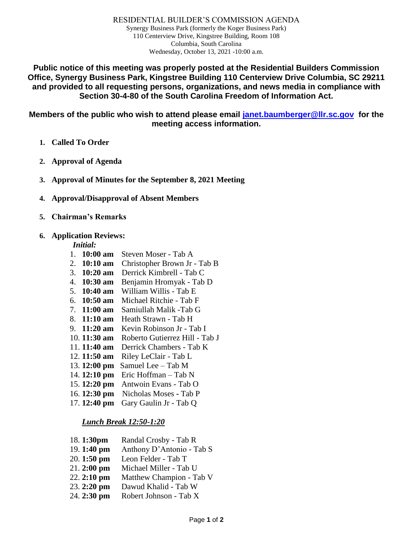RESIDENTIAL BUILDER'S COMMISSION AGENDA Synergy Business Park (formerly the Koger Business Park) 110 Centerview Drive, Kingstree Building, Room 108 Columbia, South Carolina Wednesday, October 13, 2021 -10:00 a.m.

**Public notice of this meeting was properly posted at the Residential Builders Commission Office, Synergy Business Park, Kingstree Building 110 Centerview Drive Columbia, SC 29211 and provided to all requesting persons, organizations, and news media in compliance with Section 30-4-80 of the South Carolina Freedom of Information Act.**

**Members of the public who wish to attend please email [janet.baumberger@llr.sc.gov](mailto:janet.baumberger@llr.sc.gov) for the meeting access information.**

- **1. Called To Order**
- **2. Approval of Agenda**
- **3. Approval of Minutes for the September 8, 2021 Meeting**
- **4. Approval/Disapproval of Absent Members**
- **5. Chairman's Remarks**

### **6. Application Reviews:**

## *Initial:*

- 1. **10:00 am** Steven Moser Tab A
- 2. **10:10 am** Christopher Brown Jr Tab B
- 3. **10:20 am** Derrick Kimbrell Tab C
- 4. **10:30 am** Benjamin Hromyak Tab D
- 5. **10:40 am** William Willis Tab E
- 6. **10:50 am** Michael Ritchie Tab F
- 7. **11:00 am** Samiullah Malik -Tab G
- 8. **11:10 am** Heath Strawn Tab H
- 9. **11:20 am** Kevin Robinson Jr Tab I
- 10. **11:30 am** Roberto Gutierrez Hill Tab J
- 11. **11:40 am** Derrick Chambers Tab K
- 12. **11:50 am** Riley LeClair Tab L
- 13. **12:00 pm** Samuel Lee Tab M
- 14. **12:10 pm** Eric Hoffman Tab N
- 15. **12:20 pm** Antwoin Evans Tab O
- 16. **12:30 pm** Nicholas Moses **-** Tab P
- 17. **12:40 pm** Gary Gaulin Jr Tab Q

## *Lunch Break 12:50-1:20*

- 18. **1:30pm** Randal Crosby Tab R
- 19. **1:40 pm** Anthony D'Antonio Tab S
- 20. **1:50 pm** Leon Felder Tab T
- 21. **2:00 pm** Michael Miller Tab U
- 22. **2:10 pm** Matthew Champion Tab V
- 23. **2:20 pm** Dawud Khalid Tab W
- 24. **2:30 pm** Robert Johnson Tab X